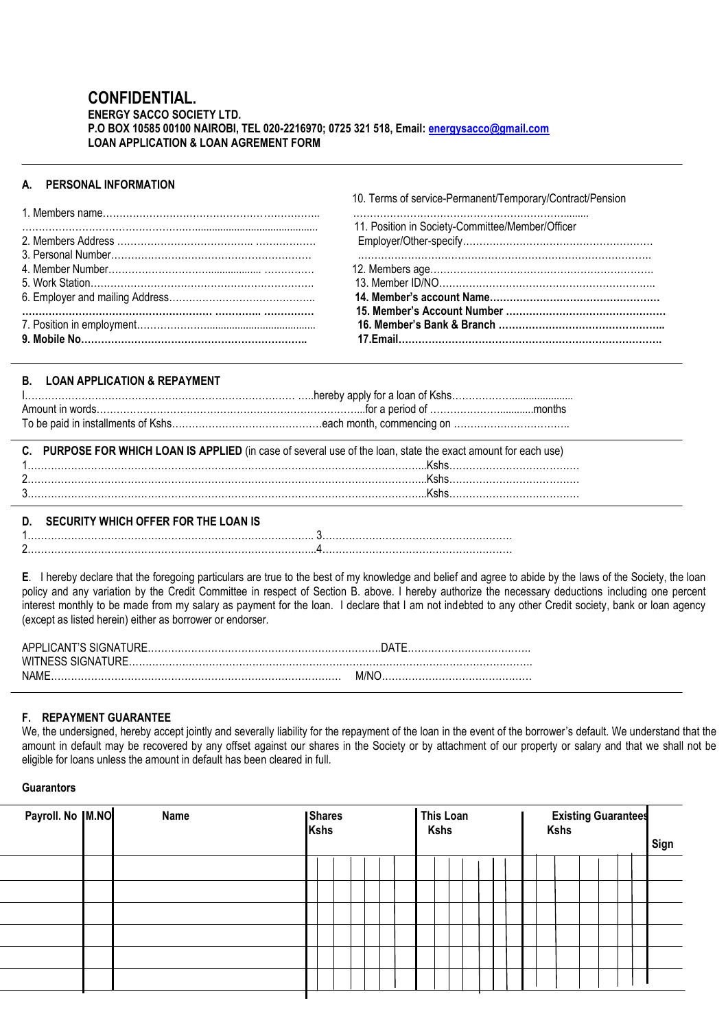# **CONFIDENTIAL.**

### **ENERGY SACCO SOCIETY LTD. P.O BOX 10585 00100 NAIROBI, TEL 020-2216970; 0725 321 518, Email[: energysacco@gmail.com](mailto:energysacco@gmail.com) LOAN APPLICATION & LOAN AGREMENT FORM**

# **A. PERSONAL INFORMATION**

10. Terms of service-Permanent/Temporary/Contract/Pension

| 11. Position in Society-Committee/Member/Officer |
|--------------------------------------------------|
|                                                  |
|                                                  |
|                                                  |
|                                                  |
|                                                  |
|                                                  |
|                                                  |
|                                                  |
|                                                  |

֖֖֖֖֖֖֖֖֖֖֪ׅ֖֖֖֧֪֪ׅ֖֖ׅ֖֧ׅ֧֪֪֪֪֪֪֪֪֪֪֪֪֪֪֪֪֪֪֚֚֚֚֚֚֚֚֚֚֚֚֚֚֚֚֚֚֚֚֚֚֚֚֚֚֡֞֝֝֝֝֝֝֓֞֝֝֝֬֝

## **B. LOAN APPLICATION & REPAYMENT**

| C. PURPOSE FOR WHICH LOAN IS APPLIED (in case of several use of the loan, state the exact amount for each use) |
|----------------------------------------------------------------------------------------------------------------|
|                                                                                                                |
|                                                                                                                |
|                                                                                                                |
|                                                                                                                |

# **D. SECURITY WHICH OFFER FOR THE LOAN IS**

**E**. I hereby declare that the foregoing particulars are true to the best of my knowledge and belief and agree to abide by the laws of the Society, the loan policy and any variation by the Credit Committee in respect of Section B. above. I hereby authorize the necessary deductions including one percent interest monthly to be made from my salary as payment for the loan. I declare that I am not indebted to any other Credit society, bank or loan agency (except as listed herein) either as borrower or endorser.

| NAME |  |
|------|--|

## **F. REPAYMENT GUARANTEE**

We, the undersigned, hereby accept jointly and severally liability for the repayment of the loan in the event of the borrower's default. We understand that the amount in default may be recovered by any offset against our shares in the Society or by attachment of our property or salary and that we shall not be eligible for loans unless the amount in default has been cleared in full.

#### **Guarantors**

| Payroll. No  M.NO<br>This Loan<br>Shares<br>Name<br><b>Kshs</b><br>Kshs<br><b>Kshs</b> | <b>Existing Guarantees</b> | Sign |
|----------------------------------------------------------------------------------------|----------------------------|------|
|                                                                                        |                            |      |
|                                                                                        |                            |      |
|                                                                                        |                            |      |
|                                                                                        |                            |      |
|                                                                                        |                            |      |
|                                                                                        |                            |      |